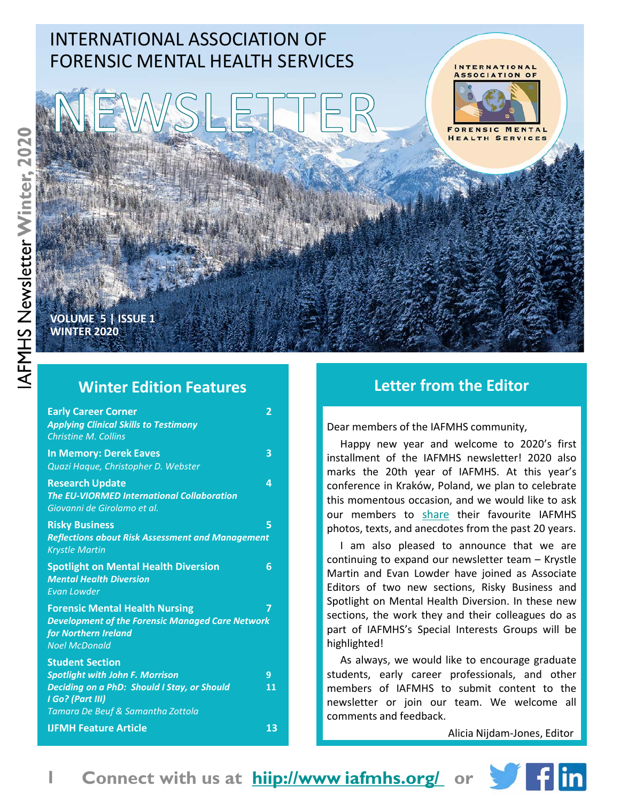

**VOLUME 5 | ISSUE 1 WINTER 2020**

### **Winter Edition Features**

| <b>Early Career Corner</b><br><b>Applying Clinical Skills to Testimony</b><br><b>Christine M. Collins</b>                                                                | 2       |
|--------------------------------------------------------------------------------------------------------------------------------------------------------------------------|---------|
| <b>In Memory: Derek Eaves</b><br>Quazi Haque, Christopher D. Webster                                                                                                     | 3       |
| <b>Research Update</b><br><b>The EU-VIORMED International Collaboration</b><br>Giovanni de Girolamo et al.                                                               | Δ       |
| <b>Risky Business</b><br><b>Reflections about Risk Assessment and Management</b><br><b>Krystle Martin</b>                                                                | 5       |
| <b>Spotlight on Mental Health Diversion</b><br><b>Mental Health Diversion</b><br><b>Evan Lowder</b>                                                                      | 6       |
| <b>Forensic Mental Health Nursing</b><br><b>Development of the Forensic Managed Care Network</b><br>for Northern Ireland<br><b>Noel McDonald</b>                         | 7       |
| <b>Student Section</b><br><b>Spotlight with John F. Morrison</b><br>Deciding on a PhD: Should I Stay, or Should<br>I Go? (Part III)<br>Tamara De Beuf & Samantha Zottola | 9<br>11 |
| <b>IJFMH Feature Article</b>                                                                                                                                             | 13      |

### **Letter from the Editor**

Dear members of the IAFMHS community,

Happy new year and welcome to 2020's first installment of the IAFMHS newsletter! 2020 also marks the 20th year of IAFMHS. At this year's conference in Kraków, Poland, we plan to celebrate this momentous occasion, and we would like to ask our members to share their favourite IAFMHS photos, texts, and anecdotes from the past 20 years.

I am also pleased to announce that we are continuing to expand our newsletter team – Krystle Martin and Evan Lowder have joined as Associate Editors of two new sections, Risky Business and Spotlight on Mental Health Diversion. In these new sections, the work they and their colleagues do as part of IAFMHS's Special Interests Groups will be highlighted!

As always, we would like to encourage graduate students, early career professionals, and other members of IAFMHS to submit content to the newsletter or join our team. We welcome all comments and feedback.

Alicia Nijdam-Jones, Editor

**Connect with us at hiip://www iafmhs.org/ or** 



**1**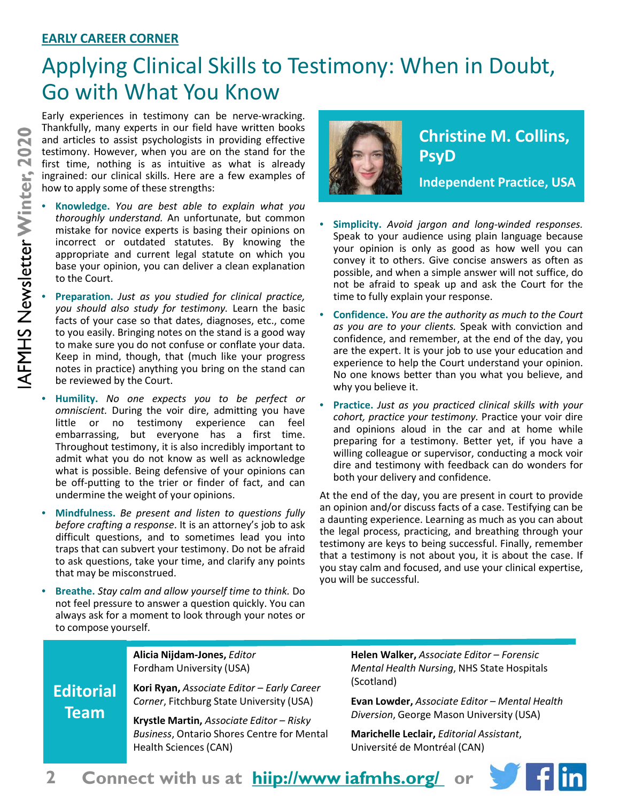### **EARLY CAREER CORNER**

# Applying Clinical Skills to Testimony: When in Doubt, Go with What You Know

Early experiences in testimony can be nerve-wracking. Thankfully, many experts in our field have written books and articles to assist psychologists in providing effective testimony. However, when you are on the stand for the first time, nothing is as intuitive as what is already ingrained: our clinical skills. Here are a few examples of how to apply some of these strengths:

- **Knowledge.** *You are best able to explain what you thoroughly understand.* An unfortunate, but common mistake for novice experts is basing their opinions on incorrect or outdated statutes. By knowing the appropriate and current legal statute on which you base your opinion, you can deliver a clean explanation to the Court.
- **Preparation.** *Just as you studied for clinical practice, you should also study for testimony.* Learn the basic facts of your case so that dates, diagnoses, etc., come to you easily. Bringing notes on the stand is a good way to make sure you do not confuse or conflate your data. Keep in mind, though, that (much like your progress notes in practice) anything you bring on the stand can be reviewed by the Court.
- **Humility.** *No one expects you to be perfect or omniscient.* During the voir dire, admitting you have little or no testimony experience can feel embarrassing, but everyone has a first time. Throughout testimony, it is also incredibly important to admit what you do not know as well as acknowledge what is possible. Being defensive of your opinions can be off-putting to the trier or finder of fact, and can undermine the weight of your opinions.
- **Mindfulness.** *Be present and listen to questions fully before crafting a response*. It is an attorney's job to ask difficult questions, and to sometimes lead you into traps that can subvert your testimony. Do not be afraid to ask questions, take your time, and clarify any points that may be misconstrued.
- **Breathe.** *Stay calm and allow yourself time to think.* Do not feel pressure to answer a question quickly. You can always ask for a moment to look through your notes or to compose yourself.



## **Christine M. Collins, PsyD**

**Independent Practice, USA**

- **Simplicity.** *Avoid jargon and long-winded responses.* Speak to your audience using plain language because your opinion is only as good as how well you can convey it to others. Give concise answers as often as possible, and when a simple answer will not suffice, do not be afraid to speak up and ask the Court for the time to fully explain your response.
- **Confidence.** *You are the authority as much to the Court as you are to your clients.* Speak with conviction and confidence, and remember, at the end of the day, you are the expert. It is your job to use your education and experience to help the Court understand your opinion. No one knows better than you what you believe, and why you believe it.
- **Practice.** *Just as you practiced clinical skills with your cohort, practice your testimony.* Practice your voir dire and opinions aloud in the car and at home while preparing for a testimony. Better yet, if you have a willing colleague or supervisor, conducting a mock voir dire and testimony with feedback can do wonders for both your delivery and confidence.

At the end of the day, you are present in court to provide an opinion and/or discuss facts of a case. Testifying can be a daunting experience. Learning as much as you can about the legal process, practicing, and breathing through your testimony are keys to being successful. Finally, remember that a testimony is not about you, it is about the case. If you stay calm and focused, and use your clinical expertise, you will be successful.

**Editorial Team**

**Alicia Nijdam-Jones,** *Editor* Fordham University (USA)

**Kori Ryan,** *Associate Editor – Early Career Corner*, Fitchburg State University (USA)

**Krystle Martin,** *Associate Editor – Risky Business*, Ontario Shores Centre for Mental Health Sciences (CAN)

**Helen Walker,** *Associate Editor – Forensic Mental Health Nursing*, NHS State Hospitals (Scotland)

**Evan Lowder,** *Associate Editor – Mental Health Diversion*, George Mason University (USA)

**Marichelle Leclair,** *Editorial Assistant*, Université de Montréal (CAN)



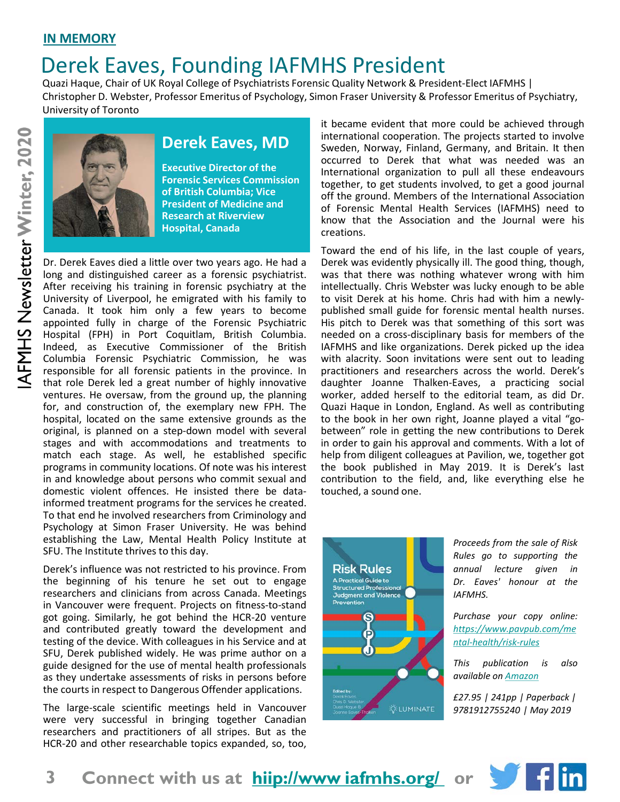# Derek Eaves, Founding IAFMHS President

Quazi Haque, Chair of UK Royal College of Psychiatrists Forensic Quality Network & President-Elect IAFMHS | Christopher D. Webster, Professor Emeritus of Psychology, Simon Fraser University & Professor Emeritus of Psychiatry, University of Toronto



AFMHS Newsletter Winter, 2020

## **Derek Eaves, MD**

**Executive Director of the Forensic Services Commission of British Columbia; Vice President of Medicine and Research at Riverview Hospital, Canada**

Dr. Derek Eaves died a little over two years ago. He had a long and distinguished career as a forensic psychiatrist. After receiving his training in forensic psychiatry at the University of Liverpool, he emigrated with his family to Canada. It took him only a few years to become appointed fully in charge of the Forensic Psychiatric Hospital (FPH) in Port Coquitlam, British Columbia. Indeed, as Executive Commissioner of the British Columbia Forensic Psychiatric Commission, he was responsible for all forensic patients in the province. In that role Derek led a great number of highly innovative ventures. He oversaw, from the ground up, the planning for, and construction of, the exemplary new FPH. The hospital, located on the same extensive grounds as the original, is planned on a step-down model with several stages and with accommodations and treatments to match each stage. As well, he established specific programs in community locations. Of note was his interest in and knowledge about persons who commit sexual and domestic violent offences. He insisted there be datainformed treatment programs for the services he created. To that end he involved researchers from Criminology and Psychology at Simon Fraser University. He was behind establishing the Law, Mental Health Policy Institute at SFU. The Institute thrives to this day.

Derek's influence was not restricted to his province. From the beginning of his tenure he set out to engage researchers and clinicians from across Canada. Meetings in Vancouver were frequent. Projects on fitness-to-stand got going. Similarly, he got behind the HCR-20 venture and contributed greatly toward the development and testing of the device. With colleagues in his Service and at SFU, Derek published widely. He was prime author on a guide designed for the use of mental health professionals as they undertake assessments of risks in persons before the courts in respect to Dangerous Offender applications.

The large-scale scientific meetings held in Vancouver were very successful in bringing together Canadian researchers and practitioners of all stripes. But as the HCR-20 and other researchable topics expanded, so, too,

it became evident that more could be achieved through international cooperation. The projects started to involve Sweden, Norway, Finland, Germany, and Britain. It then occurred to Derek that what was needed was an International organization to pull all these endeavours together, to get students involved, to get a good journal off the ground. Members of the International Association of Forensic Mental Health Services (IAFMHS) need to know that the Association and the Journal were his creations.

Toward the end of his life, in the last couple of years, Derek was evidently physically ill. The good thing, though, was that there was nothing whatever wrong with him intellectually. Chris Webster was lucky enough to be able to visit Derek at his home. Chris had with him a newlypublished small guide for forensic mental health nurses. His pitch to Derek was that something of this sort was needed on a cross-disciplinary basis for members of the IAFMHS and like organizations. Derek picked up the idea with alacrity. Soon invitations were sent out to leading practitioners and researchers across the world. Derek's daughter Joanne Thalken-Eaves, a practicing social worker, added herself to the editorial team, as did Dr. Quazi Haque in London, England. As well as contributing to the book in her own right, Joanne played a vital "gobetween" role in getting the new contributions to Derek in order to gain his approval and comments. With a lot of help from diligent colleagues at Pavilion, we, together got the book published in May 2019. It is Derek's last contribution to the field, and, like everything else he touched, a sound one.



*Proceeds from the sale of Risk Rules go to supporting the annual lecture given in Dr. Eaves' honour at the IAFMHS.*

*Purchase your copy online: https://www.pavpub.com/me ntal-health/risk-rules*

*This publication is also available on Amazon*

*£27.95 | 241pp | Paperback | 9781912755240 | May 2019*

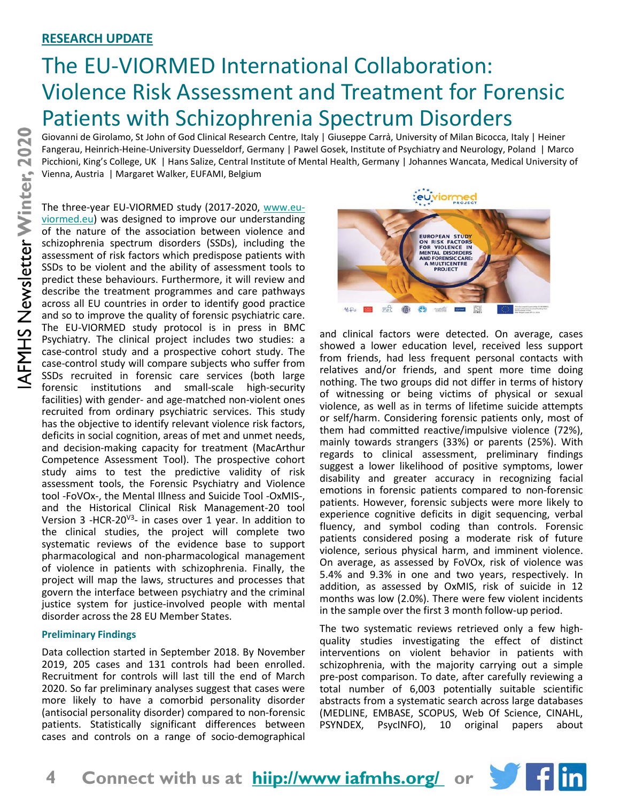### **RESEARCH UPDATE**

# The EU-VIORMED International Collaboration: Violence Risk Assessment and Treatment for Forensic Patients with Schizophrenia Spectrum Disorders

Giovanni de Girolamo, St John of God Clinical Research Centre, Italy | Giuseppe Carrà, University of Milan Bicocca, Italy | Heiner Fangerau, Heinrich-Heine-University Duesseldorf, Germany | Pawel Gosek, Institute of Psychiatry and Neurology, Poland | Marco Picchioni, King's College, UK | Hans Salize, Central Institute of Mental Health, Germany | Johannes Wancata, Medical University of Vienna, Austria | Margaret Walker, EUFAMI, Belgium

The three-year EU-VIORMED study (2017-2020, www.euviormed.eu) was designed to improve our understanding of the nature of the association between violence and schizophrenia spectrum disorders (SSDs), including the assessment of risk factors which predispose patients with SSDs to be violent and the ability of assessment tools to predict these behaviours. Furthermore, it will review and describe the treatment programmes and care pathways across all EU countries in order to identify good practice and so to improve the quality of forensic psychiatric care. The EU-VIORMED study protocol is in press in BMC Psychiatry. The clinical project includes two studies: a case-control study and a prospective cohort study. The case-control study will compare subjects who suffer from SSDs recruited in forensic care services (both large forensic institutions and small-scale high-security facilities) with gender- and age-matched non-violent ones recruited from ordinary psychiatric services. This study has the objective to identify relevant violence risk factors, deficits in social cognition, areas of met and unmet needs, and decision-making capacity for treatment (MacArthur Competence Assessment Tool). The prospective cohort study aims to test the predictive validity of risk assessment tools, the Forensic Psychiatry and Violence tool -FoVOx-, the Mental Illness and Suicide Tool -OxMIS-, and the Historical Clinical Risk Management-20 tool Version 3 -HCR-20V3- in cases over 1 year. In addition to the clinical studies, the project will complete two systematic reviews of the evidence base to support pharmacological and non-pharmacological management of violence in patients with schizophrenia. Finally, the project will map the laws, structures and processes that govern the interface between psychiatry and the criminal justice system for justice-involved people with mental disorder across the 28 EU Member States.

#### **Preliminary Findings**

Data collection started in September 2018. By November 2019, 205 cases and 131 controls had been enrolled. Recruitment for controls will last till the end of March 2020. So far preliminary analyses suggest that cases were more likely to have a comorbid personality disorder (antisocial personality disorder) compared to non-forensic patients. Statistically significant differences between cases and controls on a range of socio-demographical



and clinical factors were detected. On average, cases showed a lower education level, received less support from friends, had less frequent personal contacts with relatives and/or friends, and spent more time doing nothing. The two groups did not differ in terms of history of witnessing or being victims of physical or sexual violence, as well as in terms of lifetime suicide attempts or self/harm. Considering forensic patients only, most of them had committed reactive/impulsive violence (72%), mainly towards strangers (33%) or parents (25%). With regards to clinical assessment, preliminary findings suggest a lower likelihood of positive symptoms, lower disability and greater accuracy in recognizing facial emotions in forensic patients compared to non-forensic patients. However, forensic subjects were more likely to experience cognitive deficits in digit sequencing, verbal fluency, and symbol coding than controls. Forensic patients considered posing a moderate risk of future violence, serious physical harm, and imminent violence. On average, as assessed by FoVOx, risk of violence was 5.4% and 9.3% in one and two years, respectively. In addition, as assessed by OxMIS, risk of suicide in 12 months was low (2.0%). There were few violent incidents in the sample over the first 3 month follow-up period.

The two systematic reviews retrieved only a few highquality studies investigating the effect of distinct interventions on violent behavior in patients with schizophrenia, with the majority carrying out a simple pre-post comparison. To date, after carefully reviewing a total number of 6,003 potentially suitable scientific abstracts from a systematic search across large databases (MEDLINE, EMBASE, SCOPUS, Web Of Science, CINAHL, PSYNDEX, PsycINFO), 10 original papers about

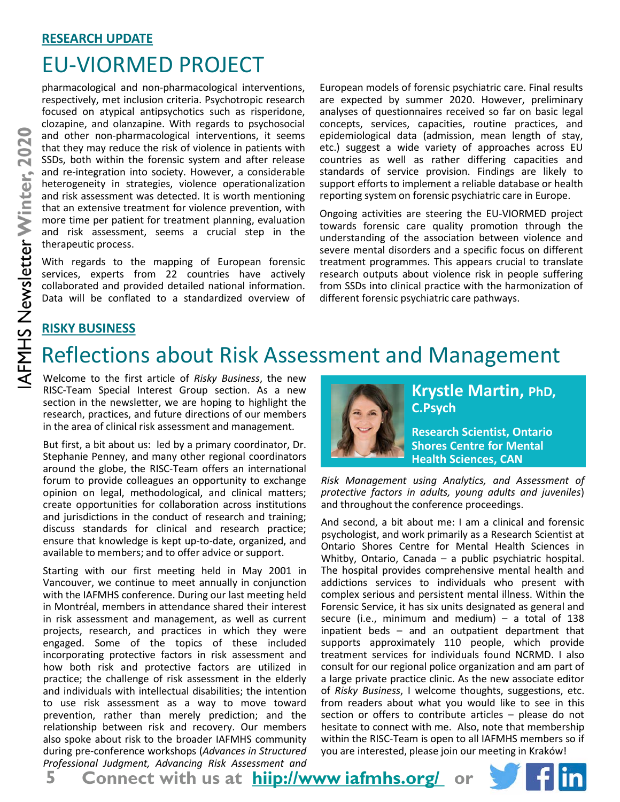# EU-VIORMED PROJECT

pharmacological and non-pharmacological interventions, respectively, met inclusion criteria. Psychotropic research focused on atypical antipsychotics such as risperidone, clozapine, and olanzapine. With regards to psychosocial and other non-pharmacological interventions, it seems that they may reduce the risk of violence in patients with SSDs, both within the forensic system and after release and re-integration into society. However, a considerable heterogeneity in strategies, violence operationalization and risk assessment was detected. It is worth mentioning that an extensive treatment for violence prevention, with more time per patient for treatment planning, evaluation and risk assessment, seems a crucial step in the therapeutic process.

With regards to the mapping of European forensic services, experts from 22 countries have actively collaborated and provided detailed national information. Data will be conflated to a standardized overview of European models of forensic psychiatric care. Final results are expected by summer 2020. However, preliminary analyses of questionnaires received so far on basic legal concepts, services, capacities, routine practices, and epidemiological data (admission, mean length of stay, etc.) suggest a wide variety of approaches across EU countries as well as rather differing capacities and standards of service provision. Findings are likely to support efforts to implement a reliable database or health reporting system on forensic psychiatric care in Europe.

Ongoing activities are steering the EU-VIORMED project towards forensic care quality promotion through the understanding of the association between violence and severe mental disorders and a specific focus on different treatment programmes. This appears crucial to translate research outputs about violence risk in people suffering from SSDs into clinical practice with the harmonization of different forensic psychiatric care pathways.

### **RISKY BUSINESS**

# Reflections about Risk Assessment and Management

Welcome to the first article of *Risky Business*, the new RISC-Team Special Interest Group section. As a new section in the newsletter, we are hoping to highlight the research, practices, and future directions of our members in the area of clinical risk assessment and management.

But first, a bit about us: led by a primary coordinator, Dr. Stephanie Penney, and many other regional coordinators around the globe, the RISC-Team offers an international forum to provide colleagues an opportunity to exchange opinion on legal, methodological, and clinical matters; create opportunities for collaboration across institutions and jurisdictions in the conduct of research and training; discuss standards for clinical and research practice; ensure that knowledge is kept up-to-date, organized, and available to members; and to offer advice or support.

Starting with our first meeting held in May 2001 in Vancouver, we continue to meet annually in conjunction with the IAFMHS conference. During our last meeting held in Montréal, members in attendance shared their interest in risk assessment and management, as well as current projects, research, and practices in which they were engaged. Some of the topics of these included incorporating protective factors in risk assessment and how both risk and protective factors are utilized in practice; the challenge of risk assessment in the elderly and individuals with intellectual disabilities; the intention to use risk assessment as a way to move toward prevention, rather than merely prediction; and the relationship between risk and recovery. Our members also spoke about risk to the broader IAFMHS community during pre-conference workshops (*Advances in Structured Professional Judgment, Advancing Risk Assessment and*



### **Krystle Martin, PhD, C.Psych**

**Research Scientist, Ontario Shores Centre for Mental Health Sciences, CAN**

*Risk Management using Analytics, and Assessment of protective factors in adults, young adults and juveniles*) and throughout the conference proceedings.

And second, a bit about me: I am a clinical and forensic psychologist, and work primarily as a Research Scientist at Ontario Shores Centre for Mental Health Sciences in Whitby, Ontario, Canada – a public psychiatric hospital. The hospital provides comprehensive mental health and addictions services to individuals who present with complex serious and persistent mental illness. Within the Forensic Service, it has six units designated as general and secure (i.e., minimum and medium)  $-$  a total of 138 inpatient beds – and an outpatient department that supports approximately 110 people, which provide treatment services for individuals found NCRMD. I also consult for our regional police organization and am part of a large private practice clinic. As the new associate editor of *Risky Business*, I welcome thoughts, suggestions, etc. from readers about what you would like to see in this section or offers to contribute articles – please do not hesitate to connect with me. Also, note that membership within the RISC-Team is open to all IAFMHS members so if you are interested, please join our meeting in Kraków!

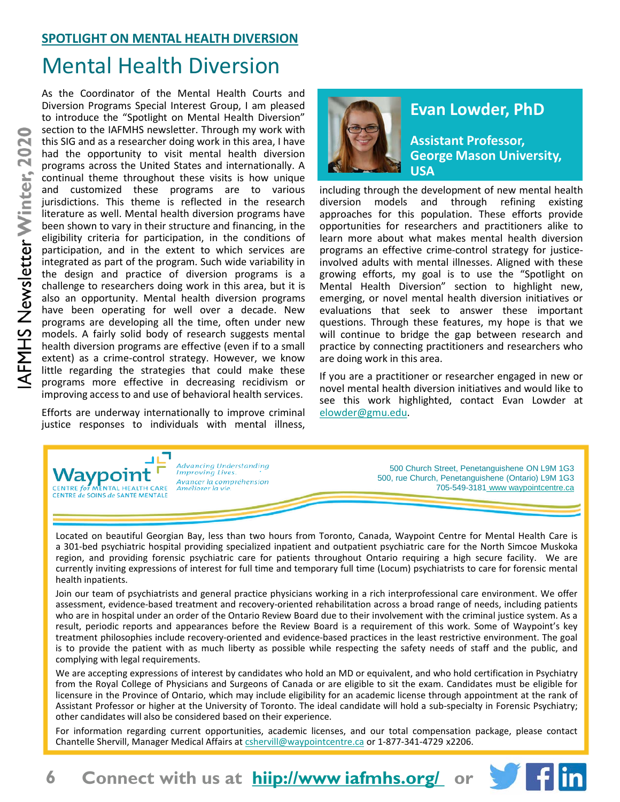### **SPOTLIGHT ON MENTAL HEALTH DIVERSION**

# Mental Health Diversion

As the Coordinator of the Mental Health Courts and Diversion Programs Special Interest Group, I am pleased to introduce the "Spotlight on Mental Health Diversion" section to the IAFMHS newsletter. Through my work with this SIG and as a researcher doing work in this area, I have had the opportunity to visit mental health diversion programs across the United States and internationally. A continual theme throughout these visits is how unique and customized these programs are to various jurisdictions. This theme is reflected in the research literature as well. Mental health diversion programs have been shown to vary in their structure and financing, in the eligibility criteria for participation, in the conditions of participation, and in the extent to which services are integrated as part of the program. Such wide variability in the design and practice of diversion programs is a challenge to researchers doing work in this area, but it is also an opportunity. Mental health diversion programs have been operating for well over a decade. New programs are developing all the time, often under new models. A fairly solid body of research suggests mental health diversion programs are effective (even if to a small extent) as a crime-control strategy. However, we know little regarding the strategies that could make these programs more effective in decreasing recidivism or improving accessto and use of behavioral health services.

Efforts are underway internationally to improve criminal justice responses to individuals with mental illness,



### **Evan Lowder, PhD**

**Assistant Professor, George Mason University, USA**

including through the development of new mental health diversion models and through refining existing approaches for this population. These efforts provide opportunities for researchers and practitioners alike to learn more about what makes mental health diversion programs an effective crime-control strategy for justiceinvolved adults with mental illnesses. Aligned with these growing efforts, my goal is to use the "Spotlight on Mental Health Diversion" section to highlight new, emerging, or novel mental health diversion initiatives or evaluations that seek to answer these important questions. Through these features, my hope is that we will continue to bridge the gap between research and practice by connecting practitioners and researchers who are doing work in this area.

If you are a practitioner or researcher engaged in new or novel mental health diversion initiatives and would like to see this work highlighted, contact Evan Lowder at elowder@gmu.edu.



Located on beautiful Georgian Bay, less than two hours from Toronto, Canada, Waypoint Centre for Mental Health Care is a 301-bed psychiatric hospital providing specialized inpatient and outpatient psychiatric care for the North Simcoe Muskoka region, and providing forensic psychiatric care for patients throughout Ontario requiring a high secure facility. We are currently inviting expressions of interest for full time and temporary full time (Locum) psychiatrists to care for forensic mental health inpatients.

Join our team of psychiatrists and general practice physicians working in a rich interprofessional care environment. We offer assessment, evidence-based treatment and recovery-oriented rehabilitation across a broad range of needs, including patients who are in hospital under an order of the Ontario Review Board due to their involvement with the criminal justice system. As a result, periodic reports and appearances before the Review Board is a requirement of this work. Some of Waypoint's key treatment philosophies include recovery-oriented and evidence-based practices in the least restrictive environment. The goal is to provide the patient with as much liberty as possible while respecting the safety needs of staff and the public, and complying with legal requirements.

We are accepting expressions of interest by candidates who hold an MD or equivalent, and who hold certification in Psychiatry from the Royal College of Physicians and Surgeons of Canada or are eligible to sit the exam. Candidates must be eligible for licensure in the Province of Ontario, which may include eligibility for an academic license through appointment at the rank of Assistant Professor or higher at the University of Toronto. The ideal candidate will hold a sub-specialty in Forensic Psychiatry; other candidates will also be considered based on their experience.

For information regarding current opportunities, academic licenses, and our total compensation package, please contact Chantelle Shervill, Manager Medical Affairs at cshervill@waypointcentre.ca or 1-877-341-4729 x2206.

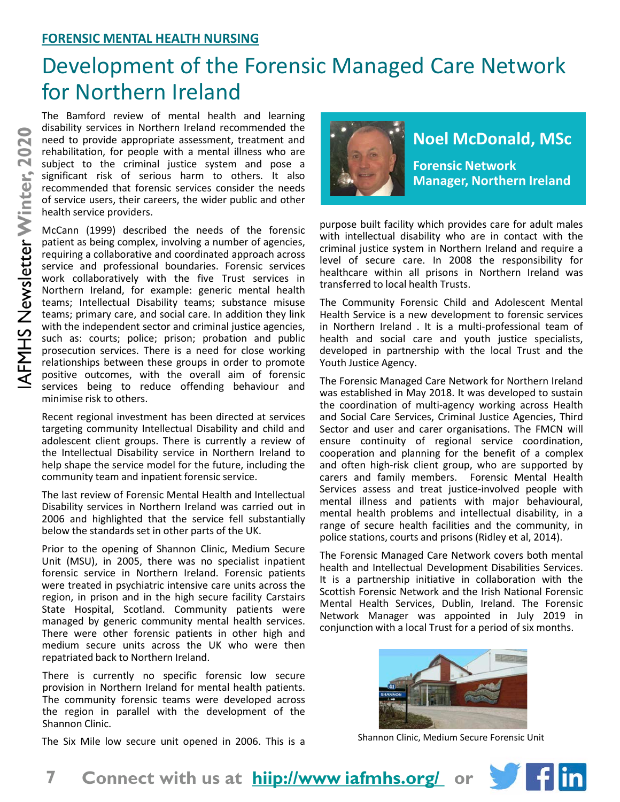# Development of the Forensic Managed Care Network for Northern Ireland

The Bamford review of mental health and learning disability services in Northern Ireland recommended the need to provide appropriate assessment, treatment and rehabilitation, for people with a mental illness who are subject to the criminal justice system and pose a significant risk of serious harm to others. It also recommended that forensic services consider the needs of service users, their careers, the wider public and other health service providers.

McCann (1999) described the needs of the forensic patient as being complex, involving a number of agencies, requiring a collaborative and coordinated approach across service and professional boundaries. Forensic services work collaboratively with the five Trust services in Northern Ireland, for example: generic mental health teams; Intellectual Disability teams; substance misuse teams; primary care, and social care. In addition they link with the independent sector and criminal justice agencies, such as: courts; police; prison; probation and public prosecution services. There is a need for close working relationships between these groups in order to promote positive outcomes, with the overall aim of forensic services being to reduce offending behaviour and minimise risk to others.

Recent regional investment has been directed at services targeting community Intellectual Disability and child and adolescent client groups. There is currently a review of the Intellectual Disability service in Northern Ireland to help shape the service model for the future, including the community team and inpatient forensic service.

The last review of Forensic Mental Health and Intellectual Disability services in Northern Ireland was carried out in 2006 and highlighted that the service fell substantially below the standards set in other parts of the UK.

Prior to the opening of Shannon Clinic, Medium Secure Unit (MSU), in 2005, there was no specialist inpatient forensic service in Northern Ireland. Forensic patients were treated in psychiatric intensive care units across the region, in prison and in the high secure facility Carstairs State Hospital, Scotland. Community patients were managed by generic community mental health services. There were other forensic patients in other high and medium secure units across the UK who were then repatriated back to Northern Ireland.

There is currently no specific forensic low secure provision in Northern Ireland for mental health patients. The community forensic teams were developed across the region in parallel with the development of the Shannon Clinic.



## **Noel McDonald, MSc**

**Forensic Network Manager, Northern Ireland**

purpose built facility which provides care for adult males with intellectual disability who are in contact with the criminal justice system in Northern Ireland and require a level of secure care. In 2008 the responsibility for healthcare within all prisons in Northern Ireland was transferred to local health Trusts.

The Community Forensic Child and Adolescent Mental Health Service is a new development to forensic services in Northern Ireland . It is a multi-professional team of health and social care and youth justice specialists, developed in partnership with the local Trust and the Youth Justice Agency.

The Forensic Managed Care Network for Northern Ireland was established in May 2018. It was developed to sustain the coordination of multi-agency working across Health and Social Care Services, Criminal Justice Agencies, Third Sector and user and carer organisations. The FMCN will ensure continuity of regional service coordination, cooperation and planning for the benefit of a complex and often high-risk client group, who are supported by carers and family members. Forensic Mental Health Services assess and treat justice-involved people with mental illness and patients with major behavioural, mental health problems and intellectual disability, in a range of secure health facilities and the community, in police stations, courts and prisons (Ridley et al, 2014).

The Forensic Managed Care Network covers both mental health and Intellectual Development Disabilities Services. It is a partnership initiative in collaboration with the Scottish Forensic Network and the Irish National Forensic Mental Health Services, Dublin, Ireland. The Forensic Network Manager was appointed in July 2019 in conjunction with a local Trust for a period of six months.



Shannon Clinic, Medium Secure Forensic Unit

The Six Mile low secure unit opened in 2006. This is a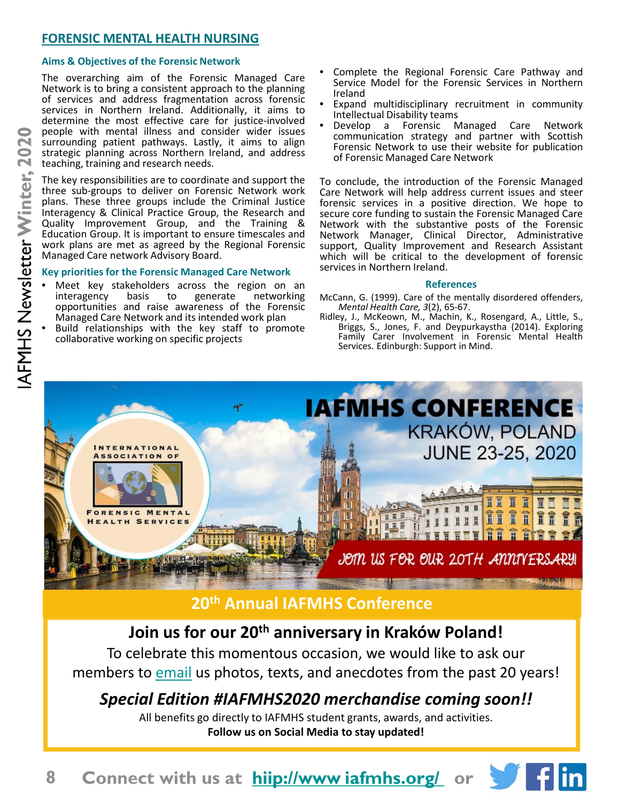### **FORENSIC MENTAL HEALTH NURSING**

#### **Aims & Objectives of the Forensic Network**

The overarching aim of the Forensic Managed Care Network is to bring a consistent approach to the planning of services and address fragmentation across forensic services in Northern Ireland. Additionally, it aims to determine the most effective care for justice-involved people with mental illness and consider wider issues surrounding patient pathways. Lastly, it aims to align strategic planning across Northern Ireland, and address teaching, training and research needs.

The key responsibilities are to coordinate and support the three sub-groups to deliver on Forensic Network work plans. These three groups include the Criminal Justice Interagency & Clinical Practice Group, the Research and Quality Improvement Group, and the Training & Education Group. It is important to ensure timescales and work plans are met as agreed by the Regional Forensic Managed Care network Advisory Board.

#### **Key priorities for the Forensic Managed Care Network**

- Meet key stakeholders across the region on an<br>interagency basis to generate networking interagency opportunities and raise awareness of the Forensic<br>Managed Care Network and its intended work plan
- Build relationships with the key staff to promote collaborative working on specific projects
- Complete the Regional Forensic Care Pathway and Service Model for the Forensic Services in Northern
- Ireland<br>Expand multidisciplinary recruitment in community<br>Intellectual Disability teams
- Develop a Forensic Managed Care Network communication strategy and partner with Scottish Forensic Network to use their website for publication of Forensic Managed Care Network

To conclude, the introduction of the Forensic Managed Care Network will help address current issues and steer forensic services in a positive direction. We hope to secure core funding to sustain the Forensic Managed Care Network with the substantive posts of the Forensic Network Manager, Clinical Director, Administrative support, Quality Improvement and Research Assistant which will be critical to the development of forensic services in Northern Ireland.

#### **References**

- McCann, G. (1999). Care of the mentally disordered offenders,<br>Mental Health Care, 3(2), 65-67.
- *Mental Health Care, <sup>3</sup>*(2), 65-67. Ridley, J., McKeown, M., Machin, K., Rosengard, A., Little, S., Briggs, S., Jones, F. and Deypurkaystha (2014). Exploring Family Carer Involvement in Forensic Mental Health Services. Edinburgh: Support in Mind.



## **20th Annual IAFMHS Conference**

## **Join us for our 20th anniversary in Kraków Poland!**

To celebrate this momentous occasion, we would like to ask our members to email us photos, texts, and anecdotes from the past 20 years!

## *Special Edition #IAFMHS2020 merchandise coming soon!!*

All benefits go directly to IAFMHS student grants, awards, and activities. **Follow us on Social Media to stay updated!**

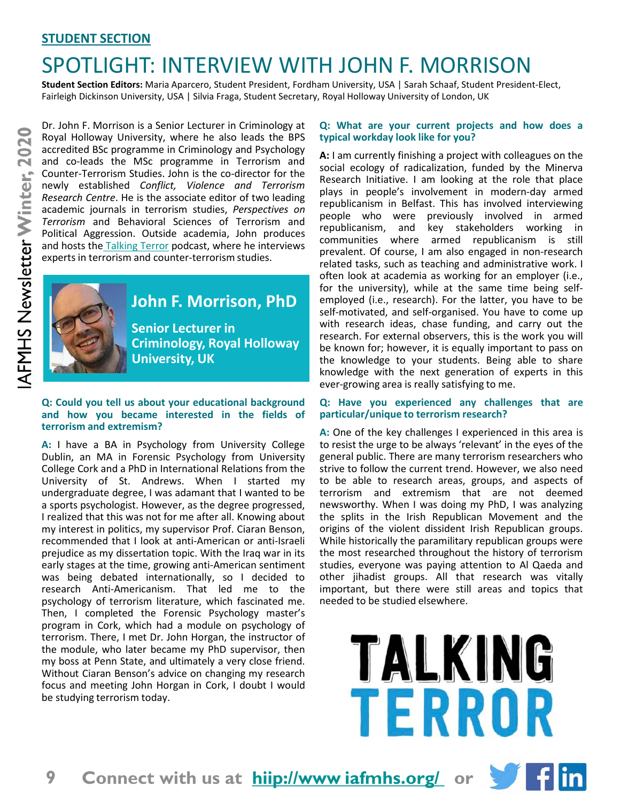### **STUDENT SECTION**

# SPOTLIGHT: INTERVIEW WITH JOHN F. MORRISON

**Student Section Editors:** Maria Aparcero, Student President, Fordham University, USA | Sarah Schaaf, Student President-Elect, Fairleigh Dickinson University, USA | Silvia Fraga, Student Secretary, Royal Holloway University of London, UK

Dr. John F. Morrison is a Senior Lecturer in Criminology at Royal Holloway University, where he also leads the BPS accredited BSc programme in Criminology and Psychology and co-leads the MSc programme in Terrorism and Counter-Terrorism Studies. John is the co-director for the newly established *Conflict, Violence and Terrorism Research Centre*. He is the associate editor of two leading academic journals in terrorism studies, *Perspectives on Terrorism* and Behavioral Sciences of Terrorism and Political Aggression. Outside academia, John produces and hosts the Talking Terror podcast, where he interviews experts in terrorism and counter-terrorism studies.



### **John F. Morrison, PhD**

**Criminology, Royal Holloway University, UK**

#### **Q: Could you tell us about your educational background and how you became interested in the fields of terrorism and extremism?**

**A:** I have a BA in Psychology from University College Dublin, an MA in Forensic Psychology from University College Cork and a PhD in International Relations from the University of St. Andrews. When I started my undergraduate degree, I was adamant that I wanted to be a sports psychologist. However, as the degree progressed, I realized that this was not for me after all. Knowing about my interest in politics, my supervisor Prof. Ciaran Benson, recommended that I look at anti-American or anti-Israeli prejudice as my dissertation topic. With the Iraq war in its early stages at the time, growing anti-American sentiment was being debated internationally, so I decided to research Anti-Americanism. That led me to the psychology of terrorism literature, which fascinated me. Then, I completed the Forensic Psychology master's program in Cork, which had a module on psychology of terrorism. There, I met Dr. John Horgan, the instructor of the module, who later became my PhD supervisor, then my boss at Penn State, and ultimately a very close friend. Without Ciaran Benson's advice on changing my research focus and meeting John Horgan in Cork, I doubt I would be studying terrorism today.

#### **Q: What are your current projects and how does a typical workday look like for you?**

**A:** I am currently finishing a project with colleagues on the social ecology of radicalization, funded by the Minerva Research Initiative. I am looking at the role that place plays in people's involvement in modern-day armed republicanism in Belfast. This has involved interviewing people who were previously involved in armed republicanism, and key stakeholders working in communities where armed republicanism is still prevalent. Of course, I am also engaged in non-research related tasks, such as teaching and administrative work. I often look at academia as working for an employer (i.e., for the university), while at the same time being selfemployed (i.e., research). For the latter, you have to be self-motivated, and self-organised. You have to come up with research ideas, chase funding, and carry out the research. For external observers, this is the work you will be known for; however, it is equally important to pass on the knowledge to your students. Being able to share knowledge with the next generation of experts in this ever-growing area is really satisfying to me.

#### **Q: Have you experienced any challenges that are particular/unique to terrorism research?**

**A:** One of the key challenges I experienced in this area is to resist the urge to be always 'relevant' in the eyes of the general public. There are many terrorism researchers who strive to follow the current trend. However, we also need to be able to research areas, groups, and aspects of terrorism and extremism that are not deemed newsworthy. When I was doing my PhD, I was analyzing the splits in the Irish Republican Movement and the origins of the violent dissident Irish Republican groups. While historically the paramilitary republican groups were the most researched throughout the history of terrorism studies, everyone was paying attention to Al Qaeda and other jihadist groups. All that research was vitally important, but there were still areas and topics that needed to be studied elsewhere.

> TALKING TERROR



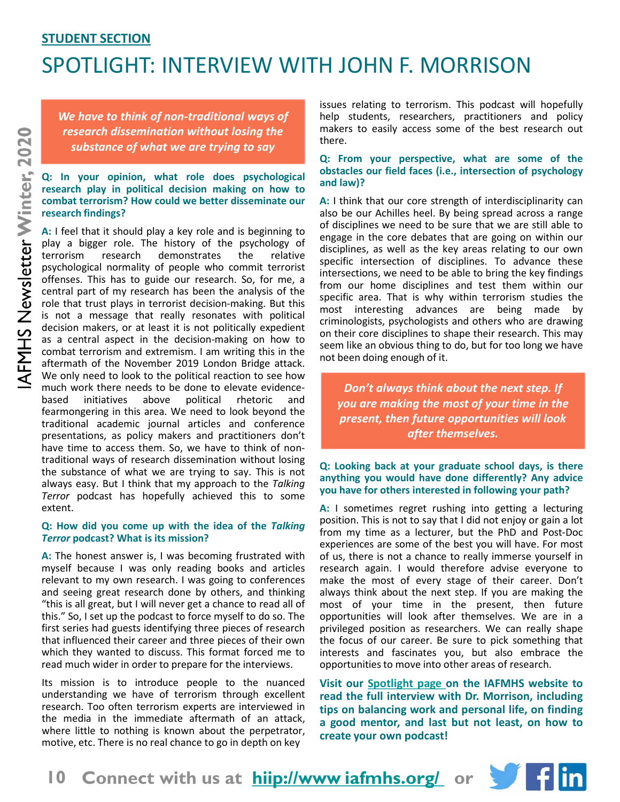## **STUDENT SECTION** SPOTLIGHT: INTERVIEW WITH JOHN F. MORRISON

*We have to think of non-traditional ways of research dissemination without losing the substance of what we are trying to say*

#### **Q: In your opinion, what role does psychological research play in political decision making on how to combat terrorism? How could we better disseminate our research findings?**

**A:** I feel that it should play a key role and is beginning to play a bigger role. The history of the psychology of terrorism research demonstrates the relative psychological normality of people who commit terrorist offenses. This has to guide our research. So, for me, a central part of my research has been the analysis of the role that trust plays in terrorist decision-making. But this is not a message that really resonates with political decision makers, or at least it is not politically expedient as a central aspect in the decision-making on how to combat terrorism and extremism. I am writing this in the aftermath of the November 2019 London Bridge attack. We only need to look to the political reaction to see how much work there needs to be done to elevate evidence-<br>based initiatives above political rhetoric and based initiatives above political rhetoric and fearmongering in this area. We need to look beyond the traditional academic journal articles and conference presentations, as policy makers and practitioners don't have time to access them. So, we have to think of nontraditional ways of research dissemination without losing the substance of what we are trying to say. This is not always easy. But I think that my approach to the *Talking Terror* podcast has hopefully achieved this to some extent.

#### **Q: How did you come up with the idea of the** *Talking Terror* **podcast? What is its mission?**

**A:** The honest answer is, I was becoming frustrated with myself because I was only reading books and articles relevant to my own research. I was going to conferences and seeing great research done by others, and thinking "this is all great, but I will never get a chance to read all of this." So, I set up the podcast to force myself to do so. The first series had guests identifying three pieces of research that influenced their career and three pieces of their own which they wanted to discuss. This format forced me to read much wider in order to prepare for the interviews.

Its mission is to introduce people to the nuanced understanding we have of terrorism through excellent research. Too often terrorism experts are interviewed in the media in the immediate aftermath of an attack, where little to nothing is known about the perpetrator, motive, etc. There is no real chance to go in depth on key

issues relating to terrorism. This podcast will hopefully help students, researchers, practitioners and policy makers to easily access some of the best research out there.

#### **Q: From your perspective, what are some of the obstacles our field faces (i.e., intersection of psychology and law)?**

**A:** I think that our core strength of interdisciplinarity can also be our Achilles heel. By being spread across a range of disciplines we need to be sure that we are still able to engage in the core debates that are going on within our disciplines, as well as the key areas relating to our own specific intersection of disciplines. To advance these intersections, we need to be able to bring the key findings from our home disciplines and test them within our specific area. That is why within terrorism studies the most interesting advances are being made by criminologists, psychologists and others who are drawing on their core disciplines to shape their research. This may seem like an obvious thing to do, but for too long we have not been doing enough of it.

*Don't always think about the next step. If you are making the most of your time in the present, then future opportunities will look after themselves.* 

#### **Q: Looking back at your graduate school days, is there anything you would have done differently? Any advice you have for others interested in following your path?**

**A:** I sometimes regret rushing into getting a lecturing position. This is not to say that I did not enjoy or gain a lot from my time as a lecturer, but the PhD and Post-Doc experiences are some of the best you will have. For most of us, there is not a chance to really immerse yourself in research again. I would therefore advise everyone to make the most of every stage of their career. Don't always think about the next step. If you are making the most of your time in the present, then future opportunities will look after themselves. We are in a privileged position as researchers. We can really shape the focus of our career. Be sure to pick something that interests and fascinates you, but also embrace the opportunitiesto move into other areas of research.

**Visit our Spotlight page on the IAFMHS website to read the full interview with Dr. Morrison, including tips on balancing work and personal life, on finding a good mentor, and last but not least, on how to create your own podcast!**

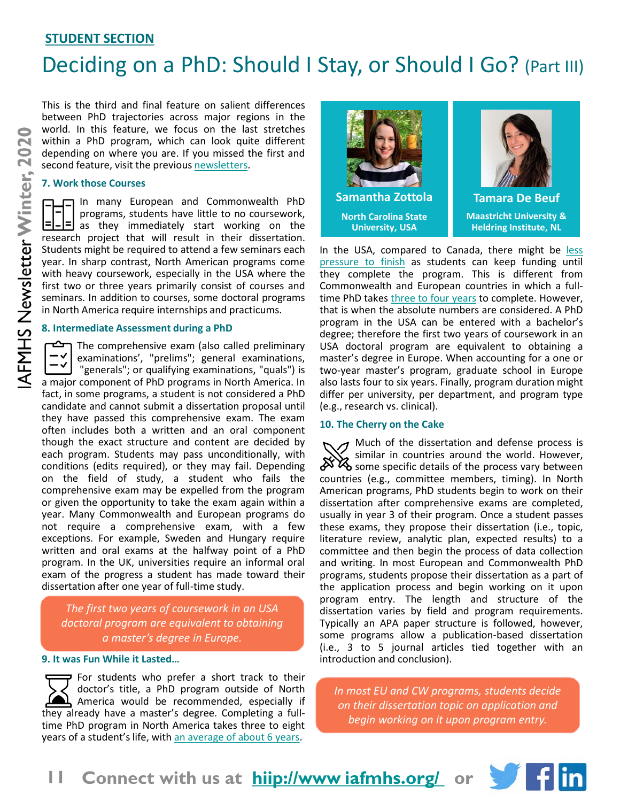### **STUDENT SECTION**

# Deciding on a PhD: Should I Stay, or Should I Go? (Part III)

This is the third and final feature on salient differences between PhD trajectories across major regions in the world. In this feature, we focus on the last stretches within a PhD program, which can look quite different depending on where you are. If you missed the first and second feature, visit the previous newsletters.

#### **7. Work those Courses**

In many European and Commonwealth PhD programs, students have little to no coursework,  $\Box$  as they immediately start working on the research project that will result in their dissertation. Students might be required to attend a few seminars each year. In sharp contrast, North American programs come with heavy coursework, especially in the USA where the first two or three years primarily consist of courses and seminars. In addition to courses, some doctoral programs in North America require internships and practicums.

#### **8. Intermediate Assessment during a PhD**

The comprehensive exam (also called preliminary examinations', "prelims"; general examinations, "generals"; or qualifying examinations, "quals") is a major component of PhD programs in North America. In fact, in some programs, a student is not considered a PhD candidate and cannot submit a dissertation proposal until they have passed this comprehensive exam. The exam often includes both a written and an oral component though the exact structure and content are decided by each program. Students may pass unconditionally, with conditions (edits required), or they may fail. Depending on the field of study, a student who fails the comprehensive exam may be expelled from the program or given the opportunity to take the exam again within a year. Many Commonwealth and European programs do not require a comprehensive exam, with a few exceptions. For example, Sweden and Hungary require written and oral exams at the halfway point of a PhD program. In the UK, universities require an informal oral exam of the progress a student has made toward their dissertation after one year of full-time study.

*The first two years of coursework in an USA doctoral program are equivalent to obtaining a master's degree in Europe.*

#### **9. It was Fun While it Lasted…**

**P** For students who prefer a short track to their doctor's title, a PhD program outside of North America would be recommended, especially if they already have a master's degree. Completing a fulltime PhD program in North America takes three to eight years of a student's life, with an average of about 6 years.





**Maastricht University & Heldring Institute, NL**

In the USA, compared to Canada, there might be less pressure to finish as students can keep funding until they complete the program. This is different from Commonwealth and European countries in which a fulltime PhD takes three to four years to complete. However, that is when the absolute numbers are considered. A PhD program in the USA can be entered with a bachelor's degree; therefore the first two years of coursework in an USA doctoral program are equivalent to obtaining a master's degree in Europe. When accounting for a one or two-year master's program, graduate school in Europe also lasts four to six years. Finally, program duration might differ per university, per department, and program type (e.g., research vs. clinical).

#### **10. The Cherry on the Cake**

 $\mathcal I$  Much of the dissertation and defense process is similar in countries around the world. However,  $\mathbb{X}^{\setminus}$  surface in countries with the process vary between countries (e.g., committee members, timing). In North American programs, PhD students begin to work on their dissertation after comprehensive exams are completed, usually in year 3 of their program. Once a student passes these exams, they propose their dissertation (i.e., topic, literature review, analytic plan, expected results) to a committee and then begin the process of data collection and writing. In most European and Commonwealth PhD programs, students propose their dissertation as a part of the application process and begin working on it upon program entry. The length and structure of the dissertation varies by field and program requirements. Typically an APA paper structure is followed, however, some programs allow a publication-based dissertation (i.e., 3 to 5 journal articles tied together with an introduction and conclusion).

*In most EU and CW programs, students decide on their dissertation topic on application and begin working on it upon program entry.*

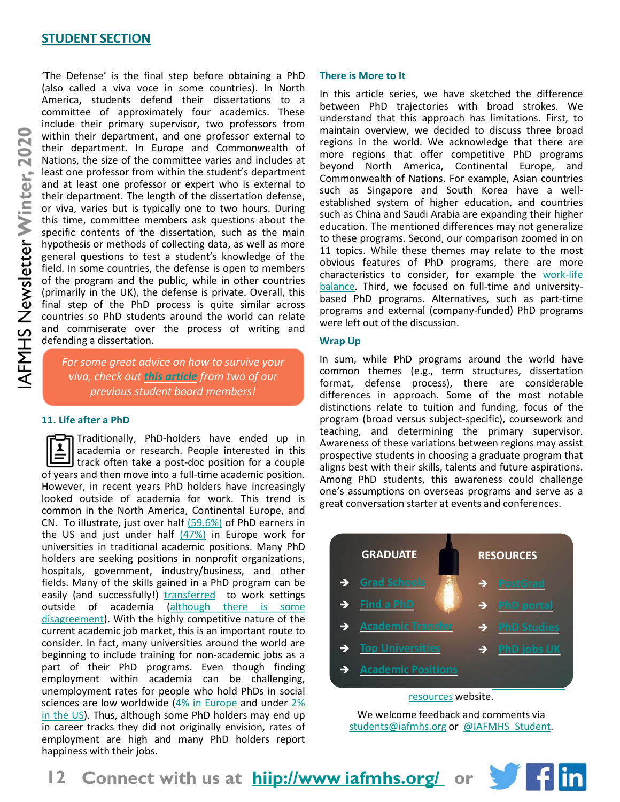#### **STUDENT SECTION**

'The Defense' is the final step before obtaining a PhD (also called a viva voce in some countries). In North America, students defend their dissertations to a committee of approximately four academics. These include their primary supervisor, two professors from within their department, and one professor external to their department. In Europe and Commonwealth of Nations, the size of the committee varies and includes at least one professor from within the student's department and at least one professor or expert who is external to their department. The length of the dissertation defense, or viva, varies but is typically one to two hours. During this time, committee members ask questions about the specific contents of the dissertation, such as the main hypothesis or methods of collecting data, as well as more general questions to test a student's knowledge of the field. In some countries, the defense is open to members of the program and the public, while in other countries (primarily in the UK), the defense is private. Overall, this final step of the PhD process is quite similar across countries so PhD students around the world can relate and commiserate over the process of writing and defending a dissertation.

*For some great advice on how to survive your viva, check out this article from two of our previous student board members!*

#### **11. Life after a PhD**

Traditionally, PhD-holders have ended up in  $\mathbf{r}$ academia or research. People interested in this **J** track often take a post-doc position for a couple of years and then move into a full-time academic position. However, in recent years PhD holders have increasingly looked outside of academia for work. This trend is common in the North America, Continental Europe, and CN. To illustrate, just over half (59.6%) of PhD earners in the US and just under half  $(47%)$  in Europe work for universities in traditional academic positions. Many PhD holders are seeking positions in nonprofit organizations, hospitals, government, industry/business, and other fields. Many of the skills gained in a PhD program can be easily (and successfully!) transferred to work settings outside of academia (although there is some disagreement). With the highly competitive nature of the current academic job market, this is an important route to consider. In fact, many universities around the world are beginning to include training for non-academic jobs as a part of their PhD programs. Even though finding employment within academia can be challenging, unemployment rates for people who hold PhDs in social sciences are low worldwide (4% in Europe and under 2% in the US). Thus, although some PhD holders may end up in career tracks they did not originally envision, rates of employment are high and many PhD holders report happiness with their jobs.

#### **There is More to It**

In this article series, we have sketched the difference between PhD trajectories with broad strokes. We understand that this approach has limitations. First, to maintain overview, we decided to discuss three broad regions in the world. We acknowledge that there are more regions that offer competitive PhD programs beyond North America, Continental Europe, and Commonwealth of Nations. For example, Asian countries such as Singapore and South Korea have a wellestablished system of higher education, and countries such as China and Saudi Arabia are expanding their higher education. The mentioned differences may not generalize to these programs. Second, our comparison zoomed in on 11 topics. While these themes may relate to the most obvious features of PhD programs, there are more characteristics to consider, for example the work-life balance. Third, we focused on full-time and universitybased PhD programs. Alternatives, such as part-time programs and external (company-funded) PhD programs were left out of the discussion.

#### **Wrap Up**

In sum, while PhD programs around the world have common themes (e.g., term structures, dissertation format, defense process), there are considerable differences in approach. Some of the most notable distinctions relate to tuition and funding, focus of the program (broad versus subject-specific), coursework and teaching, and determining the primary supervisor. Awareness of these variations between regions may assist prospective students in choosing a graduate program that aligns best with their skills, talents and future aspirations. Among PhD students, this awareness could challenge one's assumptions on overseas programs and serve as a great conversation starter at events and conferences.



We welcome feedback and comments via students@iafmhs.org or @IAFMHS Student.